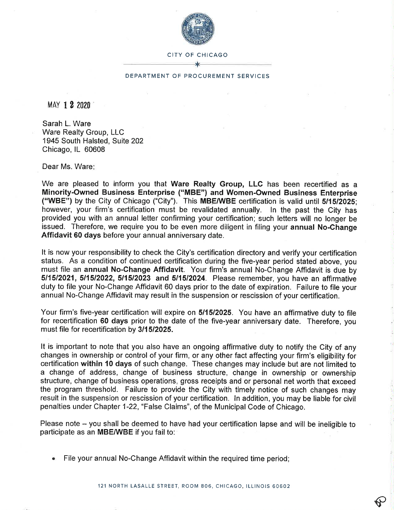

## CITY OF CHICAGO

## DEPARTMENT OF PROCUREMENT SERVICES

MAY 1 2 2020

Sarah L. Ware Ware Realty Group, LLC 1945 South Halsted, Suite 202 Chicago, lL 60608

Dear Ms. Ware

We are pleased to inform you that Ware Realty Group, LLC has been recertified as a Minority-Owned Business Enterprise ("MBE") and Women-Owned Business Enterprise ("WBE") by the City of Chicago ("City"). This MBE/WBE certification is valid until 5/15/2025; however, your firm's certification must be revalidated annually. ln the past the City has provided you with an annual letter confirming your certification; such letters will no longer be issued. Therefore, we require you to be even more diligent in filing your annual No-Change Affidavit 60 days before your annual anniversary date.

It is now your responsibility to check the City's certification directory and verify your certification status. As a condition of continued certification during the five-year period stated above, you must file an annual No-Change Affidavit. Your firm's annual No-Change Affidavit is due by 511512021,511512022,511512023 and 5/1512024. Please remember, you have an affirmative duty to file your No-Change Affidavit 60 days prior to the date of expiration. Failure to file your annual No-Change Affidavit may result in the suspension or rescission of your certification.

Your firm's five-year certification will expire on 5/1512025. You have an affirmative duty to file for recertification 60 days prior to the date of the five-year anniversary date. Therefore, you must file for recertification by 3/1512025.

It is important to note that you also have an ongoing affirmative duty to notify the City of any changes in ownership or control of your firm, or any other fact affecting your firm's eligibility for certification within 10 days of such change. These changes may include but are not limited to a change of address, change of business structure, change in ownership or ownership structure, change of business operations, gross receipts and or personal net worth that exceed the program threshold. Failure to provide the City with timely notice of such changes may result in the suspension or rescission of your certification. ln addition, you may be liable for civil penalties under Chapter 1-22, "False Claims", of the Municipal Code of Chicago.

Please note – you shall be deemed to have had your certification lapse and will be ineligible to participate as an MBE/WBE if you fail to:

File your annual No-Change Affidavit within the required time period;

ç